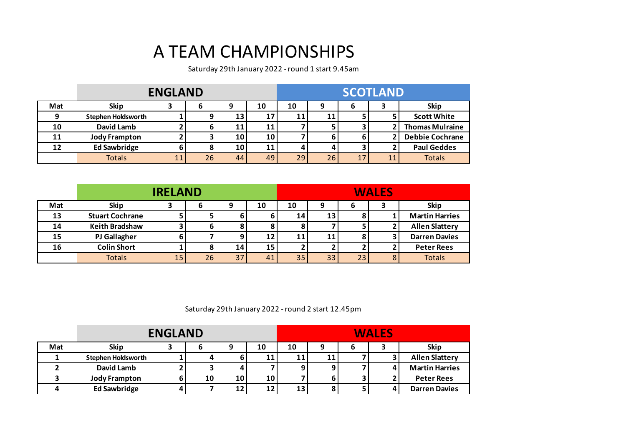## A TEAM CHAMPIONSHIPS

Saturday 29th January 2022 - round 1 start 9.45am

|     |                           | <b>ENGLAND</b> |    |    |    | <b>SCOTLAND</b> |    |    |   |                        |
|-----|---------------------------|----------------|----|----|----|-----------------|----|----|---|------------------------|
| Mat | <b>Skip</b>               |                | 6  | 9  | 10 | 10              | 9  | 6  | 3 | <b>Skip</b>            |
|     | <b>Stephen Holdsworth</b> |                | 9  | 13 | 17 | 11              | 11 |    |   | <b>Scott White</b>     |
| 10  | David Lamb                |                | 6  |    | 11 |                 |    |    |   | <b>Thomas Mulraine</b> |
|     | <b>Jody Frampton</b>      |                |    | 10 | 10 |                 |    |    |   | <b>Debbie Cochrane</b> |
| 12  | <b>Ed Sawbridge</b>       |                | 8  | 10 | 11 |                 |    |    |   | <b>Paul Geddes</b>     |
|     | <b>Totals</b>             | 11             | 26 | 44 | 49 | 29              | 26 | 17 |   | <b>Totals</b>          |

|     |                        | <b>IRELAND</b> |    |    |    |    |    |    | <b>WALES</b> |                       |
|-----|------------------------|----------------|----|----|----|----|----|----|--------------|-----------------------|
| Mat | <b>Skip</b>            |                | 6  |    | 10 | 10 |    | b  |              | <b>Skip</b>           |
| 13  | <b>Stuart Cochrane</b> |                |    |    | 6  | 14 | 13 | 8  |              | <b>Martin Harries</b> |
| 14  | <b>Keith Bradshaw</b>  |                | 61 |    |    |    |    |    |              | <b>Allen Slattery</b> |
| 15  | <b>PJ Gallagher</b>    |                |    |    | 12 | 11 | 11 | 8  |              | <b>Darren Davies</b>  |
| 16  | <b>Colin Short</b>     |                |    | 14 | 15 |    |    |    |              | <b>Peter Rees</b>     |
|     | <b>Totals</b>          | 15             | 26 | 37 | 41 | 35 | 33 | 23 |              | <b>Totals</b>         |

Saturday 29th January 2022 - round 2 start 12.45pm

|     |                           | <b>ENGLAND</b> |                 |    |    | <b>WALES</b> |   |   |  |                       |  |
|-----|---------------------------|----------------|-----------------|----|----|--------------|---|---|--|-----------------------|--|
| Mat | <b>Skip</b>               |                |                 | 9  | 10 | 10           | 9 | b |  | <b>Skip</b>           |  |
|     | <b>Stephen Holdsworth</b> |                |                 |    | 11 | 11           |   |   |  | <b>Allen Slattery</b> |  |
|     | David Lamb                |                |                 |    |    |              |   |   |  | <b>Martin Harries</b> |  |
|     | <b>Jody Frampton</b>      |                | 10 <sub>l</sub> | 10 | 10 |              |   |   |  | <b>Peter Rees</b>     |  |
|     | <b>Ed Sawbridge</b>       |                |                 | 12 | 12 | 13           |   |   |  | <b>Darren Davies</b>  |  |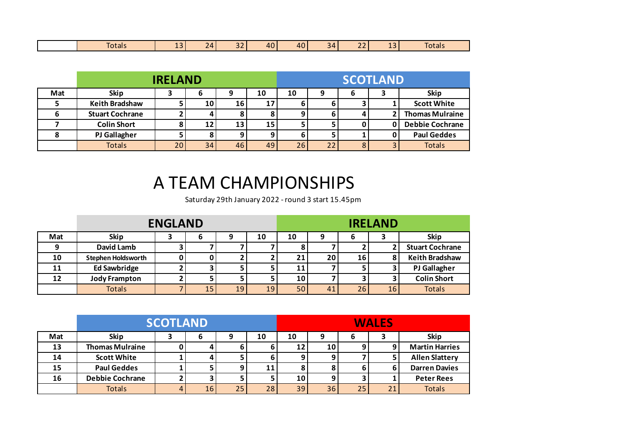|  | __<br>Iotals | $\sim$<br>-- | 71<br>. | $\sim$ $\sim$<br>$-$ | 40 I | 40 | 34<br>. . | $\sim$ $\sim$<br>$-$ | --- | otals |
|--|--------------|--------------|---------|----------------------|------|----|-----------|----------------------|-----|-------|
|--|--------------|--------------|---------|----------------------|------|----|-----------|----------------------|-----|-------|

|     |                        | <b>IRELAND</b> |      |    |    | <b>SCOTLAND</b> |   |   |   |                        |
|-----|------------------------|----------------|------|----|----|-----------------|---|---|---|------------------------|
| Mat | <b>Skip</b>            |                | O    | ο  | 10 | 10              | 9 | 6 | כ | <b>Skip</b>            |
|     | <b>Keith Bradshaw</b>  |                | 10 I | 16 | 17 |                 |   |   |   | <b>Scott White</b>     |
|     | <b>Stuart Cochrane</b> |                | 4    |    |    |                 |   |   |   | <b>Thomas Mulraine</b> |
|     | <b>Colin Short</b>     |                | 12 I | 13 | 15 |                 |   |   |   | <b>Debbie Cochrane</b> |
|     | <b>PJ Gallagher</b>    |                |      |    |    |                 |   |   |   | <b>Paul Geddes</b>     |
|     | <b>Totals</b>          | 20             | 34   | 46 | 49 | 26 <sub>1</sub> |   |   |   | <b>Totals</b>          |

## A TEAM CHAMPIONSHIPS

Saturday 29th January 2022 - round 3 start 15.45pm

|     |                           | <b>ENGLAND</b> |    |                 |    |                 |           |    | <b>IRELAND</b> |                        |
|-----|---------------------------|----------------|----|-----------------|----|-----------------|-----------|----|----------------|------------------------|
| Mat | <b>Skip</b>               |                | o  |                 | 10 | 10              |           | b  |                | <b>Skip</b>            |
|     | David Lamb                |                |    |                 |    |                 |           |    |                | <b>Stuart Cochrane</b> |
| 10  | <b>Stephen Holdsworth</b> |                |    |                 |    | 21              | <b>20</b> | 16 | 8              | <b>Keith Bradshaw</b>  |
| 11  | <b>Ed Sawbridge</b>       |                |    |                 |    | 11              |           |    |                | <b>PJ Gallagher</b>    |
| 12  | <b>Jody Frampton</b>      |                |    |                 |    | 10 <sub>1</sub> |           |    |                | <b>Colin Short</b>     |
|     | <b>Totals</b>             |                | 15 | 19 <sub>1</sub> | 19 | 50 <sub>1</sub> | 41        | 26 | 16             | <b>Totals</b>          |

|     |                        | <b>SCOTLAND</b> |    |    |    | <b>WALES</b>    |    |    |    |                       |
|-----|------------------------|-----------------|----|----|----|-----------------|----|----|----|-----------------------|
| Mat | <b>Skip</b>            |                 | 6  | 9  | 10 | 10              | 9  |    |    | <b>Skip</b>           |
| 13  | <b>Thomas Mulraine</b> |                 | 4  |    |    | 12              | 10 | o  | 9  | <b>Martin Harries</b> |
| 14  | <b>Scott White</b>     |                 | 4  |    |    | 9               |    |    |    | <b>Allen Slattery</b> |
| 15  | <b>Paul Geddes</b>     |                 | ∍  |    | 11 |                 |    |    | ь  | <b>Darren Davies</b>  |
| 16  | <b>Debbie Cochrane</b> |                 | 3  |    |    | 10 <sub>1</sub> |    |    |    | <b>Peter Rees</b>     |
|     | <b>Totals</b>          |                 | 16 | 25 | 28 | 39              | 36 | 25 | 21 | <b>Totals</b>         |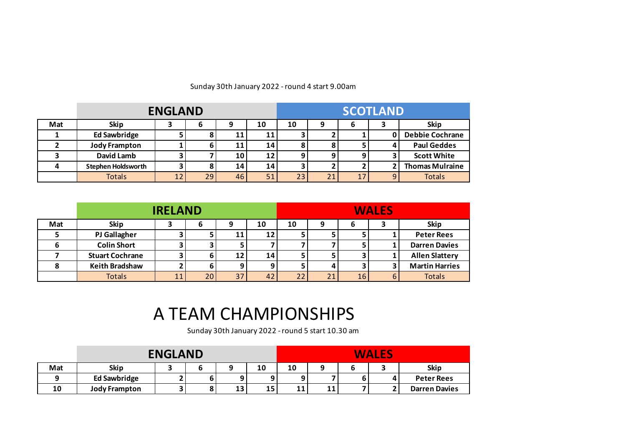|     |                           | <b>ENGLAND</b> |    |    |    | <b>SCOTLAND</b> |    |    |  |                        |
|-----|---------------------------|----------------|----|----|----|-----------------|----|----|--|------------------------|
| Mat | <b>Skip</b>               |                | o  |    | 10 | 10              |    | D  |  | <b>Skip</b>            |
|     | <b>Ed Sawbridge</b>       |                |    |    | 11 |                 |    |    |  | <b>Debbie Cochrane</b> |
|     | <b>Jody Frampton</b>      |                | 6  | 11 | 14 |                 |    |    |  | <b>Paul Geddes</b>     |
|     | <b>David Lamb</b>         |                |    | 10 | 12 |                 |    |    |  | <b>Scott White</b>     |
|     | <b>Stephen Holdsworth</b> |                |    | 14 | 14 |                 |    |    |  | <b>Thomas Mulraine</b> |
|     | <b>Totals</b>             | 12             | 29 | 46 | 51 | 23              | 21 | 17 |  | <b>Totals</b>          |

## Sunday 30th January 2022 - round 4 start 9.00am

|     |                        | <b>IRELAND</b> |                 |    |    | <b>WALES</b> |    |    |   |                       |
|-----|------------------------|----------------|-----------------|----|----|--------------|----|----|---|-----------------------|
| Mat | <b>Skip</b>            |                | o               | 9  | 10 | 10           |    | O  |   | <b>Skip</b>           |
|     | <b>PJ Gallagher</b>    |                |                 | 11 | 12 |              |    |    |   | <b>Peter Rees</b>     |
|     | <b>Colin Short</b>     |                |                 |    |    |              |    |    |   | <b>Darren Davies</b>  |
|     | <b>Stuart Cochrane</b> |                | 6               | 12 | 14 |              |    |    |   | <b>Allen Slattery</b> |
|     | <b>Keith Bradshaw</b>  |                | 6               | ο  | o  |              |    |    |   | <b>Martin Harries</b> |
|     | <b>Totals</b>          | 11             | 20 <sup>1</sup> | 37 | 42 | 22           | 21 | 16 | 6 | <b>Totals</b>         |

## A TEAM CHAMPIONSHIPS

Sunday 30th January 2022 - round 5 start 10.30 am

|     |                      | <b>ENGLAND</b> |   |    |    |    |    | <b>WALES</b> |                      |
|-----|----------------------|----------------|---|----|----|----|----|--------------|----------------------|
| Mat | <b>Skip</b>          |                |   |    | 10 | 10 |    |              | <b>Skip</b>          |
|     | <b>Ed Sawbridge</b>  |                | 6 |    |    |    |    |              | <b>Peter Rees</b>    |
| 10  | <b>Jody Frampton</b> |                | 8 | 13 | 15 | 11 | 11 |              | <b>Darren Davies</b> |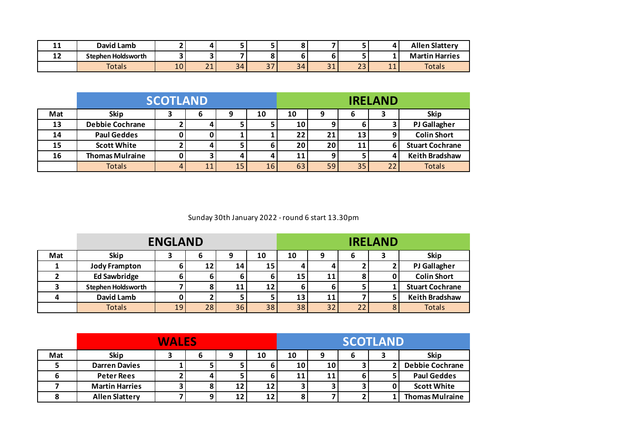| . .       | David Lamb                |                 | 4.                          |    |                             |         |              |              | 71                              | <b>Allen Slattery</b> |
|-----------|---------------------------|-----------------|-----------------------------|----|-----------------------------|---------|--------------|--------------|---------------------------------|-----------------------|
| . .<br>∸∸ | <b>Stephen Holdsworth</b> |                 |                             |    |                             |         |              |              |                                 | <b>Martin Harries</b> |
|           | Totals                    | 10 <sub>1</sub> | $\sim$ $\sim$<br>$\sim$ $-$ | 34 | $\sim$ $\rightarrow$<br>، ب | 34<br>້ | $\sim$<br>-- | $\sim$<br>تے | $\overline{\phantom{a}}$<br>. . | <b>Totals</b>         |

|     |                        | <b>SCOTLAND</b> |    |    |                 | <b>IRELAND</b>  |    |    |    |                        |
|-----|------------------------|-----------------|----|----|-----------------|-----------------|----|----|----|------------------------|
| Mat | <b>Skip</b>            |                 | 6  | 9  | 10              | 10              | 9  | 6  |    | <b>Skip</b>            |
| 13  | <b>Debbie Cochrane</b> |                 | 4  |    |                 | 10 <sup>1</sup> |    |    |    | <b>PJ Gallagher</b>    |
| 14  | <b>Paul Geddes</b>     |                 |    |    |                 | 22              | 21 | 13 |    | <b>Colin Short</b>     |
| 15  | <b>Scott White</b>     |                 | 4  |    |                 | 20              | 20 | 11 | 6  | <b>Stuart Cochrane</b> |
| 16  | <b>Thomas Mulraine</b> |                 | 3. |    |                 | 11              |    |    |    | <b>Keith Bradshaw</b>  |
|     | <b>Totals</b>          |                 | 11 | 15 | 16 <sub>1</sub> | 63              | 59 | 35 | 22 | <b>Totals</b>          |

Sunday 30th January 2022 - round 6 start 13.30pm

|     | <b>ENGLAND</b>            |    |    |    |    |    | <b>IRELAND</b> |    |   |                        |  |
|-----|---------------------------|----|----|----|----|----|----------------|----|---|------------------------|--|
| Mat | <b>Skip</b>               |    | O  |    | 10 | 10 | C              | ь  |   | <b>Skip</b>            |  |
|     | <b>Jody Frampton</b>      |    | 12 | 14 | 15 |    |                |    |   | <b>PJ Gallagher</b>    |  |
|     | <b>Ed Sawbridge</b>       |    |    |    |    | 15 | 11             |    |   | <b>Colin Short</b>     |  |
|     | <b>Stephen Holdsworth</b> |    |    | 11 | 12 |    |                |    |   | <b>Stuart Cochrane</b> |  |
|     | <b>David Lamb</b>         |    |    |    |    | 13 | 11             |    |   | <b>Keith Bradshaw</b>  |  |
|     | <b>Totals</b>             | 19 | 28 | 36 | 38 | 38 | 32             | 22 | 8 | <b>Totals</b>          |  |

|     | <b>WALES</b>          |  |   |    |    |    | <b>SCOTLAND</b> |  |  |                        |  |
|-----|-----------------------|--|---|----|----|----|-----------------|--|--|------------------------|--|
| Mat | <b>Skip</b>           |  | o |    | 10 | 10 | q               |  |  | Skip                   |  |
|     | <b>Darren Davies</b>  |  |   |    |    | 10 | 10              |  |  | <b>Debbie Cochrane</b> |  |
|     | <b>Peter Rees</b>     |  |   |    |    | 11 | 11              |  |  | <b>Paul Geddes</b>     |  |
|     | <b>Martin Harries</b> |  |   | 12 | 12 |    |                 |  |  | <b>Scott White</b>     |  |
|     | <b>Allen Slattery</b> |  |   | 12 | 12 |    |                 |  |  | <b>Thomas Mulraine</b> |  |